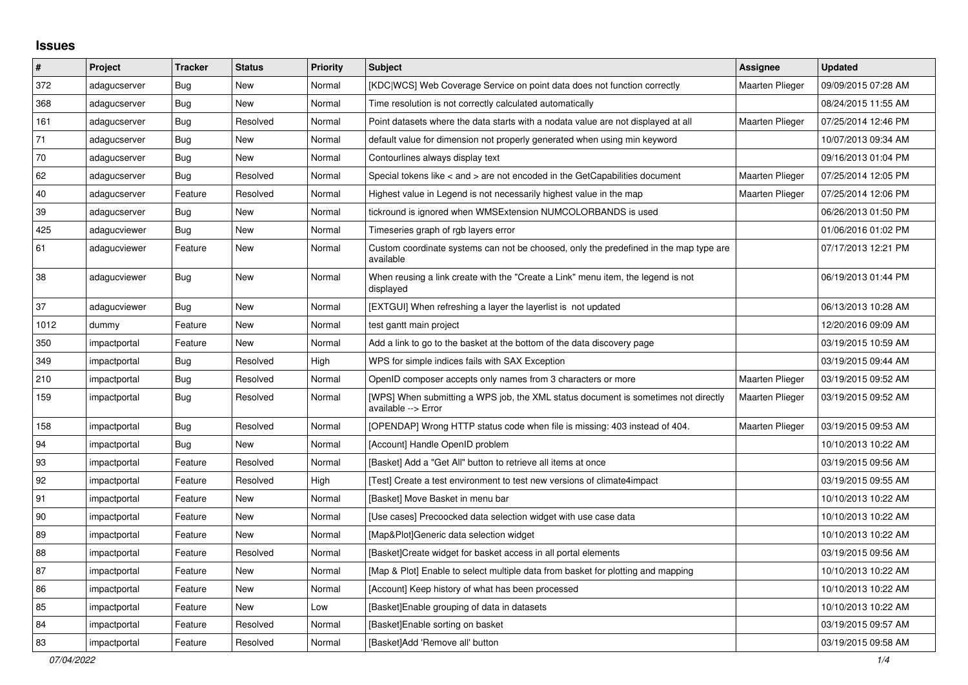## **Issues**

| $\sharp$ | Project      | <b>Tracker</b> | <b>Status</b> | <b>Priority</b> | <b>Subject</b>                                                                                            | Assignee               | <b>Updated</b>      |
|----------|--------------|----------------|---------------|-----------------|-----------------------------------------------------------------------------------------------------------|------------------------|---------------------|
| 372      | adagucserver | Bug            | New           | Normal          | [KDC WCS] Web Coverage Service on point data does not function correctly                                  | Maarten Plieger        | 09/09/2015 07:28 AM |
| 368      | adagucserver | Bug            | New           | Normal          | Time resolution is not correctly calculated automatically                                                 |                        | 08/24/2015 11:55 AM |
| 161      | adagucserver | <b>Bug</b>     | Resolved      | Normal          | Point datasets where the data starts with a nodata value are not displayed at all                         | <b>Maarten Plieger</b> | 07/25/2014 12:46 PM |
| 71       | adagucserver | <b>Bug</b>     | New           | Normal          | default value for dimension not properly generated when using min keyword                                 |                        | 10/07/2013 09:34 AM |
| $70\,$   | adagucserver | Bug            | New           | Normal          | Contourlines always display text                                                                          |                        | 09/16/2013 01:04 PM |
| 62       | adagucserver | Bug            | Resolved      | Normal          | Special tokens like < and > are not encoded in the GetCapabilities document                               | <b>Maarten Plieger</b> | 07/25/2014 12:05 PM |
| 40       | adagucserver | Feature        | Resolved      | Normal          | Highest value in Legend is not necessarily highest value in the map                                       | Maarten Plieger        | 07/25/2014 12:06 PM |
| 39       | adagucserver | <b>Bug</b>     | New           | Normal          | tickround is ignored when WMSExtension NUMCOLORBANDS is used                                              |                        | 06/26/2013 01:50 PM |
| 425      | adagucviewer | Bug            | New           | Normal          | Timeseries graph of rgb layers error                                                                      |                        | 01/06/2016 01:02 PM |
| 61       | adagucviewer | Feature        | New           | Normal          | Custom coordinate systems can not be choosed, only the predefined in the map type are<br>available        |                        | 07/17/2013 12:21 PM |
| 38       | adagucviewer | <b>Bug</b>     | New           | Normal          | When reusing a link create with the "Create a Link" menu item, the legend is not<br>displayed             |                        | 06/19/2013 01:44 PM |
| 37       | adagucviewer | <b>Bug</b>     | New           | Normal          | [EXTGUI] When refreshing a layer the layerlist is not updated                                             |                        | 06/13/2013 10:28 AM |
| 1012     | dummy        | Feature        | New           | Normal          | test gantt main project                                                                                   |                        | 12/20/2016 09:09 AM |
| 350      | impactportal | Feature        | New           | Normal          | Add a link to go to the basket at the bottom of the data discovery page                                   |                        | 03/19/2015 10:59 AM |
| 349      | impactportal | Bug            | Resolved      | High            | WPS for simple indices fails with SAX Exception                                                           |                        | 03/19/2015 09:44 AM |
| 210      | impactportal | Bug            | Resolved      | Normal          | OpenID composer accepts only names from 3 characters or more                                              | Maarten Plieger        | 03/19/2015 09:52 AM |
| 159      | impactportal | <b>Bug</b>     | Resolved      | Normal          | [WPS] When submitting a WPS job, the XML status document is sometimes not directly<br>available --> Error | Maarten Plieger        | 03/19/2015 09:52 AM |
| 158      | impactportal | <b>Bug</b>     | Resolved      | Normal          | [OPENDAP] Wrong HTTP status code when file is missing: 403 instead of 404.                                | <b>Maarten Plieger</b> | 03/19/2015 09:53 AM |
| 94       | impactportal | <b>Bug</b>     | New           | Normal          | [Account] Handle OpenID problem                                                                           |                        | 10/10/2013 10:22 AM |
| 93       | impactportal | Feature        | Resolved      | Normal          | [Basket] Add a "Get All" button to retrieve all items at once                                             |                        | 03/19/2015 09:56 AM |
| 92       | impactportal | Feature        | Resolved      | High            | [Test] Create a test environment to test new versions of climate4impact                                   |                        | 03/19/2015 09:55 AM |
| 91       | impactportal | Feature        | <b>New</b>    | Normal          | [Basket] Move Basket in menu bar                                                                          |                        | 10/10/2013 10:22 AM |
| 90       | impactportal | Feature        | New           | Normal          | [Use cases] Precoocked data selection widget with use case data                                           |                        | 10/10/2013 10:22 AM |
| 89       | impactportal | Feature        | New           | Normal          | [Map&Plot]Generic data selection widget                                                                   |                        | 10/10/2013 10:22 AM |
| 88       | impactportal | Feature        | Resolved      | Normal          | [Basket]Create widget for basket access in all portal elements                                            |                        | 03/19/2015 09:56 AM |
| 87       | impactportal | Feature        | <b>New</b>    | Normal          | [Map & Plot] Enable to select multiple data from basket for plotting and mapping                          |                        | 10/10/2013 10:22 AM |
| 86       | impactportal | Feature        | New           | Normal          | [Account] Keep history of what has been processed                                                         |                        | 10/10/2013 10:22 AM |
| 85       | impactportal | Feature        | New           | Low             | [Basket] Enable grouping of data in datasets                                                              |                        | 10/10/2013 10:22 AM |
| 84       | impactportal | Feature        | Resolved      | Normal          | [Basket]Enable sorting on basket                                                                          |                        | 03/19/2015 09:57 AM |
| 83       | impactportal | Feature        | Resolved      | Normal          | [Basket]Add 'Remove all' button                                                                           |                        | 03/19/2015 09:58 AM |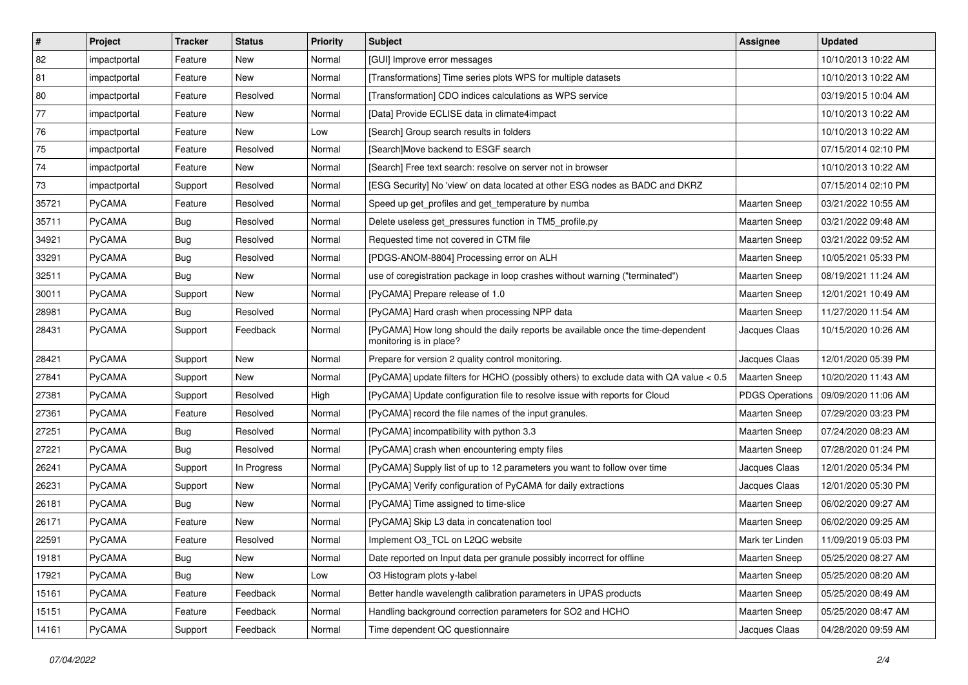| $\vert$ #    | Project       | <b>Tracker</b> | <b>Status</b> | <b>Priority</b> | <b>Subject</b>                                                                                             | Assignee               | <b>Updated</b>      |
|--------------|---------------|----------------|---------------|-----------------|------------------------------------------------------------------------------------------------------------|------------------------|---------------------|
| 82           | impactportal  | Feature        | New           | Normal          | [GUI] Improve error messages                                                                               |                        | 10/10/2013 10:22 AM |
| 81           | impactportal  | Feature        | <b>New</b>    | Normal          | [Transformations] Time series plots WPS for multiple datasets                                              |                        | 10/10/2013 10:22 AM |
| 80           | impactportal  | Feature        | Resolved      | Normal          | [Transformation] CDO indices calculations as WPS service                                                   |                        | 03/19/2015 10:04 AM |
| $\boxed{77}$ | impactportal  | Feature        | New           | Normal          | [Data] Provide ECLISE data in climate4impact                                                               |                        | 10/10/2013 10:22 AM |
| 76           | impactportal  | Feature        | <b>New</b>    | Low             | [Search] Group search results in folders                                                                   |                        | 10/10/2013 10:22 AM |
| 75           | impactportal  | Feature        | Resolved      | Normal          | [Search]Move backend to ESGF search                                                                        |                        | 07/15/2014 02:10 PM |
| 74           | impactportal  | Feature        | New           | Normal          | [Search] Free text search: resolve on server not in browser                                                |                        | 10/10/2013 10:22 AM |
| 73           | impactportal  | Support        | Resolved      | Normal          | [ESG Security] No 'view' on data located at other ESG nodes as BADC and DKRZ                               |                        | 07/15/2014 02:10 PM |
| 35721        | PyCAMA        | Feature        | Resolved      | Normal          | Speed up get_profiles and get_temperature by numba                                                         | Maarten Sneep          | 03/21/2022 10:55 AM |
| 35711        | PyCAMA        | <b>Bug</b>     | Resolved      | Normal          | Delete useless get_pressures function in TM5_profile.py                                                    | Maarten Sneep          | 03/21/2022 09:48 AM |
| 34921        | <b>PyCAMA</b> | <b>Bug</b>     | Resolved      | Normal          | Requested time not covered in CTM file                                                                     | <b>Maarten Sneep</b>   | 03/21/2022 09:52 AM |
| 33291        | PyCAMA        | <b>Bug</b>     | Resolved      | Normal          | [PDGS-ANOM-8804] Processing error on ALH                                                                   | <b>Maarten Sneep</b>   | 10/05/2021 05:33 PM |
| 32511        | PyCAMA        | <b>Bug</b>     | New           | Normal          | use of coregistration package in loop crashes without warning ("terminated")                               | Maarten Sneep          | 08/19/2021 11:24 AM |
| 30011        | PyCAMA        | Support        | New           | Normal          | [PyCAMA] Prepare release of 1.0                                                                            | <b>Maarten Sneep</b>   | 12/01/2021 10:49 AM |
| 28981        | PyCAMA        | <b>Bug</b>     | Resolved      | Normal          | [PyCAMA] Hard crash when processing NPP data                                                               | Maarten Sneep          | 11/27/2020 11:54 AM |
| 28431        | PyCAMA        | Support        | Feedback      | Normal          | [PyCAMA] How long should the daily reports be available once the time-dependent<br>monitoring is in place? | Jacques Claas          | 10/15/2020 10:26 AM |
| 28421        | PyCAMA        | Support        | <b>New</b>    | Normal          | Prepare for version 2 quality control monitoring.                                                          | Jacques Claas          | 12/01/2020 05:39 PM |
| 27841        | PyCAMA        | Support        | <b>New</b>    | Normal          | [PyCAMA] update filters for HCHO (possibly others) to exclude data with QA value < 0.5                     | <b>Maarten Sneep</b>   | 10/20/2020 11:43 AM |
| 27381        | PyCAMA        | Support        | Resolved      | High            | [PyCAMA] Update configuration file to resolve issue with reports for Cloud                                 | <b>PDGS Operations</b> | 09/09/2020 11:06 AM |
| 27361        | <b>PyCAMA</b> | Feature        | Resolved      | Normal          | [PyCAMA] record the file names of the input granules.                                                      | Maarten Sneep          | 07/29/2020 03:23 PM |
| 27251        | PyCAMA        | Bug            | Resolved      | Normal          | [PyCAMA] incompatibility with python 3.3                                                                   | <b>Maarten Sneep</b>   | 07/24/2020 08:23 AM |
| 27221        | PyCAMA        | <b>Bug</b>     | Resolved      | Normal          | [PyCAMA] crash when encountering empty files                                                               | <b>Maarten Sneep</b>   | 07/28/2020 01:24 PM |
| 26241        | PyCAMA        | Support        | In Progress   | Normal          | [PyCAMA] Supply list of up to 12 parameters you want to follow over time                                   | Jacques Claas          | 12/01/2020 05:34 PM |
| 26231        | PyCAMA        | Support        | <b>New</b>    | Normal          | [PyCAMA] Verify configuration of PyCAMA for daily extractions                                              | Jacques Claas          | 12/01/2020 05:30 PM |
| 26181        | <b>PyCAMA</b> | Bug            | New           | Normal          | [PyCAMA] Time assigned to time-slice                                                                       | <b>Maarten Sneep</b>   | 06/02/2020 09:27 AM |
| 26171        | PyCAMA        | Feature        | <b>New</b>    | Normal          | [PyCAMA] Skip L3 data in concatenation tool                                                                | <b>Maarten Sneep</b>   | 06/02/2020 09:25 AM |
| 22591        | PyCAMA        | Feature        | Resolved      | Normal          | Implement O3 TCL on L2QC website                                                                           | Mark ter Linden        | 11/09/2019 05:03 PM |
| 19181        | PyCAMA        | <b>Bug</b>     | New           | Normal          | Date reported on Input data per granule possibly incorrect for offline                                     | <b>Maarten Sneep</b>   | 05/25/2020 08:27 AM |
| 17921        | PyCAMA        | Bug            | New           | Low             | O3 Histogram plots y-label                                                                                 | Maarten Sneep          | 05/25/2020 08:20 AM |
| 15161        | PyCAMA        | Feature        | Feedback      | Normal          | Better handle wavelength calibration parameters in UPAS products                                           | Maarten Sneep          | 05/25/2020 08:49 AM |
| 15151        | PyCAMA        | Feature        | Feedback      | Normal          | Handling background correction parameters for SO2 and HCHO                                                 | Maarten Sneep          | 05/25/2020 08:47 AM |
| 14161        | PyCAMA        | Support        | Feedback      | Normal          | Time dependent QC questionnaire                                                                            | Jacques Claas          | 04/28/2020 09:59 AM |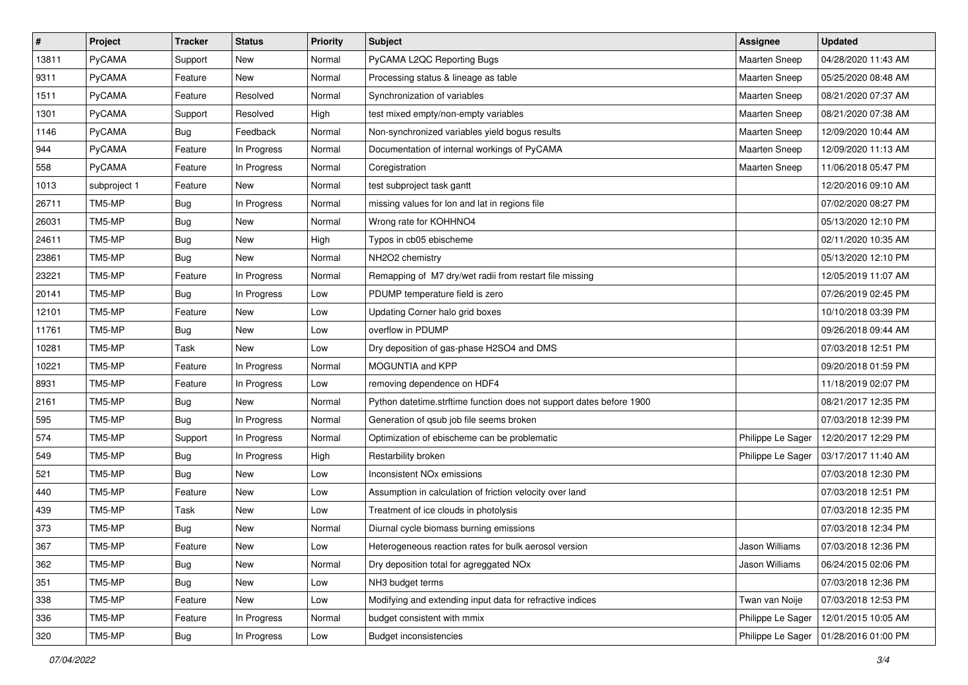| $\pmb{\#}$ | Project      | <b>Tracker</b> | <b>Status</b> | <b>Priority</b> | <b>Subject</b>                                                       | Assignee             | <b>Updated</b>                          |
|------------|--------------|----------------|---------------|-----------------|----------------------------------------------------------------------|----------------------|-----------------------------------------|
| 13811      | PyCAMA       | Support        | New           | Normal          | PyCAMA L2QC Reporting Bugs                                           | Maarten Sneep        | 04/28/2020 11:43 AM                     |
| 9311       | PyCAMA       | Feature        | <b>New</b>    | Normal          | Processing status & lineage as table                                 | <b>Maarten Sneep</b> | 05/25/2020 08:48 AM                     |
| 1511       | PyCAMA       | Feature        | Resolved      | Normal          | Synchronization of variables                                         | Maarten Sneep        | 08/21/2020 07:37 AM                     |
| 1301       | PyCAMA       | Support        | Resolved      | High            | test mixed empty/non-empty variables                                 | <b>Maarten Sneep</b> | 08/21/2020 07:38 AM                     |
| 1146       | PyCAMA       | <b>Bug</b>     | Feedback      | Normal          | Non-synchronized variables yield bogus results                       | Maarten Sneep        | 12/09/2020 10:44 AM                     |
| 944        | PyCAMA       | Feature        | In Progress   | Normal          | Documentation of internal workings of PyCAMA                         | Maarten Sneep        | 12/09/2020 11:13 AM                     |
| 558        | PyCAMA       | Feature        | In Progress   | Normal          | Coregistration                                                       | Maarten Sneep        | 11/06/2018 05:47 PM                     |
| 1013       | subproject 1 | Feature        | New           | Normal          | test subproject task gantt                                           |                      | 12/20/2016 09:10 AM                     |
| 26711      | TM5-MP       | Bug            | In Progress   | Normal          | missing values for lon and lat in regions file                       |                      | 07/02/2020 08:27 PM                     |
| 26031      | TM5-MP       | <b>Bug</b>     | <b>New</b>    | Normal          | Wrong rate for KOHHNO4                                               |                      | 05/13/2020 12:10 PM                     |
| 24611      | TM5-MP       | <b>Bug</b>     | <b>New</b>    | High            | Typos in cb05 ebischeme                                              |                      | 02/11/2020 10:35 AM                     |
| 23861      | TM5-MP       | <b>Bug</b>     | <b>New</b>    | Normal          | NH2O2 chemistry                                                      |                      | 05/13/2020 12:10 PM                     |
| 23221      | TM5-MP       | Feature        | In Progress   | Normal          | Remapping of M7 dry/wet radii from restart file missing              |                      | 12/05/2019 11:07 AM                     |
| 20141      | TM5-MP       | <b>Bug</b>     | In Progress   | Low             | PDUMP temperature field is zero                                      |                      | 07/26/2019 02:45 PM                     |
| 12101      | TM5-MP       | Feature        | <b>New</b>    | Low             | Updating Corner halo grid boxes                                      |                      | 10/10/2018 03:39 PM                     |
| 11761      | TM5-MP       | <b>Bug</b>     | New           | Low             | overflow in PDUMP                                                    |                      | 09/26/2018 09:44 AM                     |
| 10281      | TM5-MP       | Task           | New           | Low             | Dry deposition of gas-phase H2SO4 and DMS                            |                      | 07/03/2018 12:51 PM                     |
| 10221      | TM5-MP       | Feature        | In Progress   | Normal          | MOGUNTIA and KPP                                                     |                      | 09/20/2018 01:59 PM                     |
| 8931       | TM5-MP       | Feature        | In Progress   | Low             | removing dependence on HDF4                                          |                      | 11/18/2019 02:07 PM                     |
| 2161       | TM5-MP       | <b>Bug</b>     | <b>New</b>    | Normal          | Python datetime.strftime function does not support dates before 1900 |                      | 08/21/2017 12:35 PM                     |
| 595        | TM5-MP       | Bug            | In Progress   | Normal          | Generation of qsub job file seems broken                             |                      | 07/03/2018 12:39 PM                     |
| 574        | TM5-MP       | Support        | In Progress   | Normal          | Optimization of ebischeme can be problematic                         | Philippe Le Sager    | 12/20/2017 12:29 PM                     |
| 549        | TM5-MP       | <b>Bug</b>     | In Progress   | High            | Restarbility broken                                                  | Philippe Le Sager    | 03/17/2017 11:40 AM                     |
| 521        | TM5-MP       | <b>Bug</b>     | New           | Low             | Inconsistent NO <sub>x</sub> emissions                               |                      | 07/03/2018 12:30 PM                     |
| 440        | TM5-MP       | Feature        | New           | Low             | Assumption in calculation of friction velocity over land             |                      | 07/03/2018 12:51 PM                     |
| 439        | TM5-MP       | Task           | New           | Low             | Treatment of ice clouds in photolysis                                |                      | 07/03/2018 12:35 PM                     |
| 373        | TM5-MP       | <b>Bug</b>     | <b>New</b>    | Normal          | Diurnal cycle biomass burning emissions                              |                      | 07/03/2018 12:34 PM                     |
| 367        | TM5-MP       | Feature        | New           | Low             | Heterogeneous reaction rates for bulk aerosol version                | Jason Williams       | 07/03/2018 12:36 PM                     |
| 362        | TM5-MP       | Bug            | New           | Normal          | Dry deposition total for agreggated NO <sub>x</sub>                  | Jason Williams       | 06/24/2015 02:06 PM                     |
| 351        | TM5-MP       | <b>Bug</b>     | New           | Low             | NH3 budget terms                                                     |                      | 07/03/2018 12:36 PM                     |
| 338        | TM5-MP       | Feature        | New           | Low             | Modifying and extending input data for refractive indices            | Twan van Noije       | 07/03/2018 12:53 PM                     |
| 336        | TM5-MP       | Feature        | In Progress   | Normal          | budget consistent with mmix                                          | Philippe Le Sager    | 12/01/2015 10:05 AM                     |
| 320        | TM5-MP       | <b>Bug</b>     | In Progress   | Low             | <b>Budget inconsistencies</b>                                        |                      | Philippe Le Sager   01/28/2016 01:00 PM |